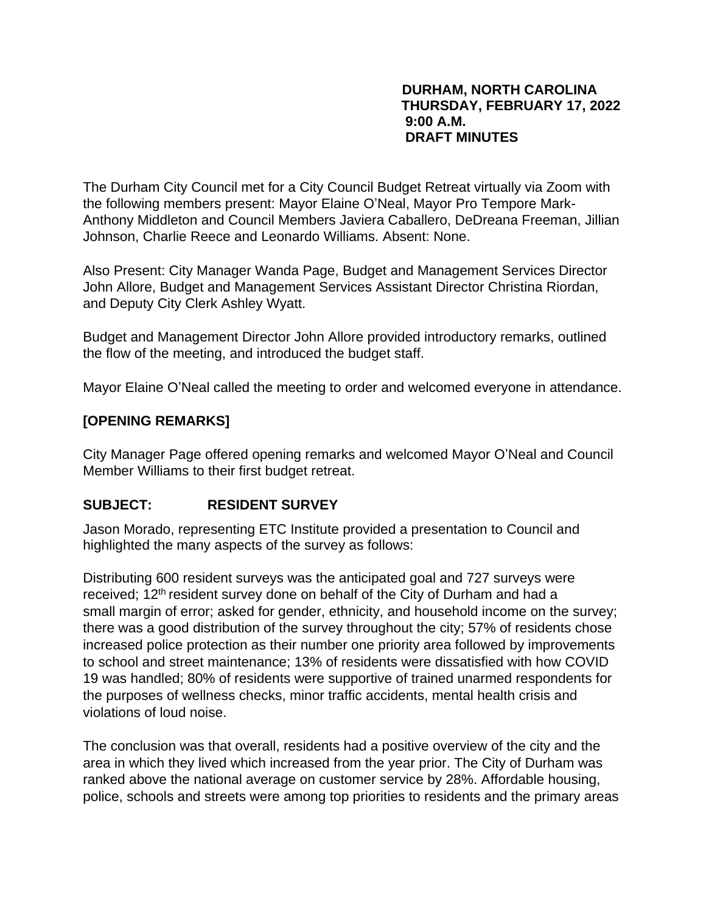### **DURHAM, NORTH CAROLINA THURSDAY, FEBRUARY 17, 2022 9:00 A.M. DRAFT MINUTES**

The Durham City Council met for a City Council Budget Retreat virtually via Zoom with the following members present: Mayor Elaine O'Neal, Mayor Pro Tempore Mark-Anthony Middleton and Council Members Javiera Caballero, DeDreana Freeman, Jillian Johnson, Charlie Reece and Leonardo Williams. Absent: None.

Also Present: City Manager Wanda Page, Budget and Management Services Director John Allore, Budget and Management Services Assistant Director Christina Riordan, and Deputy City Clerk Ashley Wyatt.

Budget and Management Director John Allore provided introductory remarks, outlined the flow of the meeting, and introduced the budget staff.

Mayor Elaine O'Neal called the meeting to order and welcomed everyone in attendance.

## **[OPENING REMARKS]**

City Manager Page offered opening remarks and welcomed Mayor O'Neal and Council Member Williams to their first budget retreat.

## **SUBJECT: RESIDENT SURVEY**

Jason Morado, representing ETC Institute provided a presentation to Council and highlighted the many aspects of the survey as follows:

Distributing 600 resident surveys was the anticipated goal and 727 surveys were received; 12<sup>th</sup> resident survey done on behalf of the City of Durham and had a small margin of error; asked for gender, ethnicity, and household income on the survey; there was a good distribution of the survey throughout the city; 57% of residents chose increased police protection as their number one priority area followed by improvements to school and street maintenance; 13% of residents were dissatisfied with how COVID 19 was handled; 80% of residents were supportive of trained unarmed respondents for the purposes of wellness checks, minor traffic accidents, mental health crisis and violations of loud noise.

The conclusion was that overall, residents had a positive overview of the city and the area in which they lived which increased from the year prior. The City of Durham was ranked above the national average on customer service by 28%. Affordable housing, police, schools and streets were among top priorities to residents and the primary areas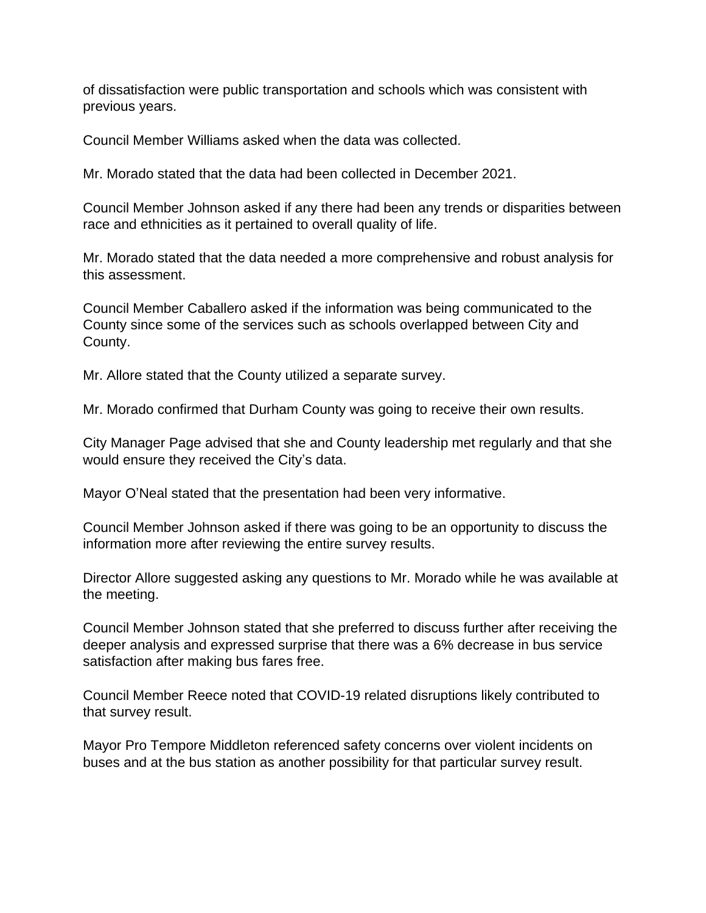of dissatisfaction were public transportation and schools which was consistent with previous years.

Council Member Williams asked when the data was collected.

Mr. Morado stated that the data had been collected in December 2021.

Council Member Johnson asked if any there had been any trends or disparities between race and ethnicities as it pertained to overall quality of life.

Mr. Morado stated that the data needed a more comprehensive and robust analysis for this assessment.

Council Member Caballero asked if the information was being communicated to the County since some of the services such as schools overlapped between City and County.

Mr. Allore stated that the County utilized a separate survey.

Mr. Morado confirmed that Durham County was going to receive their own results.

City Manager Page advised that she and County leadership met regularly and that she would ensure they received the City's data.

Mayor O'Neal stated that the presentation had been very informative.

Council Member Johnson asked if there was going to be an opportunity to discuss the information more after reviewing the entire survey results.

Director Allore suggested asking any questions to Mr. Morado while he was available at the meeting.

Council Member Johnson stated that she preferred to discuss further after receiving the deeper analysis and expressed surprise that there was a 6% decrease in bus service satisfaction after making bus fares free.

Council Member Reece noted that COVID-19 related disruptions likely contributed to that survey result.

Mayor Pro Tempore Middleton referenced safety concerns over violent incidents on buses and at the bus station as another possibility for that particular survey result.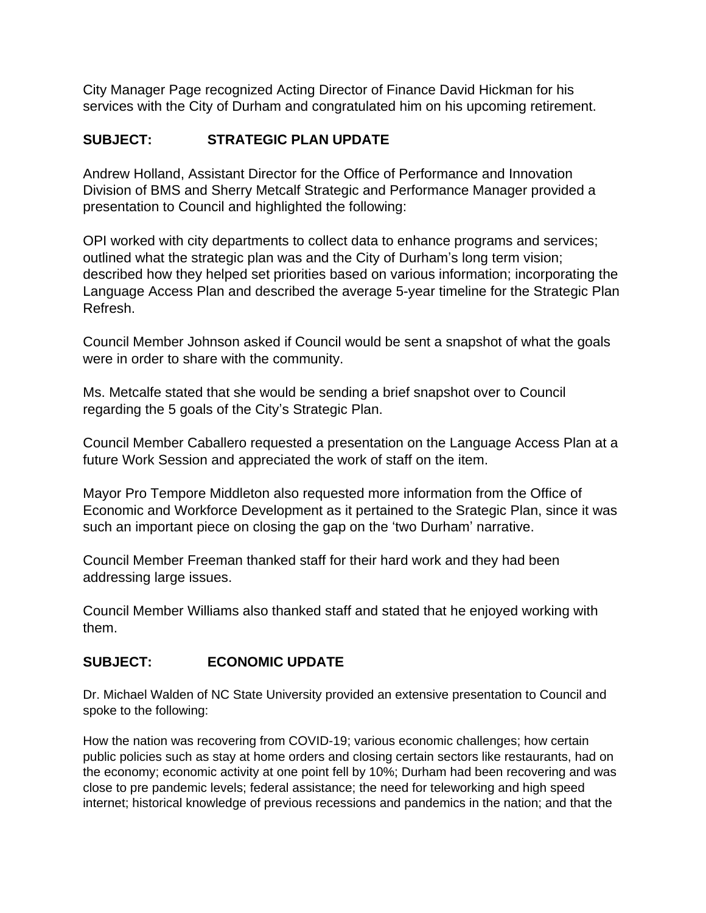City Manager Page recognized Acting Director of Finance David Hickman for his services with the City of Durham and congratulated him on his upcoming retirement.

# **SUBJECT: STRATEGIC PLAN UPDATE**

Andrew Holland, Assistant Director for the Office of Performance and Innovation Division of BMS and Sherry Metcalf Strategic and Performance Manager provided a presentation to Council and highlighted the following:

OPI worked with city departments to collect data to enhance programs and services; outlined what the strategic plan was and the City of Durham's long term vision; described how they helped set priorities based on various information; incorporating the Language Access Plan and described the average 5-year timeline for the Strategic Plan Refresh.

Council Member Johnson asked if Council would be sent a snapshot of what the goals were in order to share with the community.

Ms. Metcalfe stated that she would be sending a brief snapshot over to Council regarding the 5 goals of the City's Strategic Plan.

Council Member Caballero requested a presentation on the Language Access Plan at a future Work Session and appreciated the work of staff on the item.

Mayor Pro Tempore Middleton also requested more information from the Office of Economic and Workforce Development as it pertained to the Srategic Plan, since it was such an important piece on closing the gap on the 'two Durham' narrative.

Council Member Freeman thanked staff for their hard work and they had been addressing large issues.

Council Member Williams also thanked staff and stated that he enjoyed working with them.

# **SUBJECT: ECONOMIC UPDATE**

Dr. Michael Walden of NC State University provided an extensive presentation to Council and spoke to the following:

How the nation was recovering from COVID-19; various economic challenges; how certain public policies such as stay at home orders and closing certain sectors like restaurants, had on the economy; economic activity at one point fell by 10%; Durham had been recovering and was close to pre pandemic levels; federal assistance; the need for teleworking and high speed internet; historical knowledge of previous recessions and pandemics in the nation; and that the